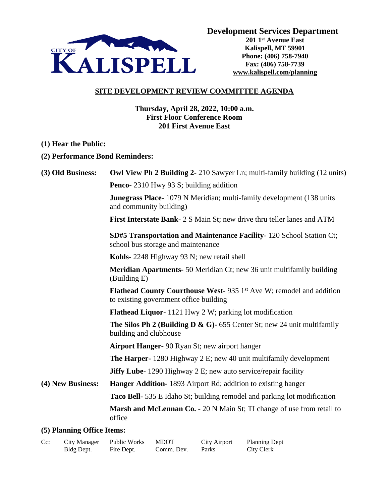

**Development Services Department**

**201 1st Avenue East Kalispell, MT 59901 Phone: (406) 758-7940 Fax: (406) 758-7739 www.kalispell.com/planning**

## **SITE DEVELOPMENT REVIEW COMMITTEE AGENDA**

**Thursday, April 28, 2022, 10:00 a.m. First Floor Conference Room 201 First Avenue East**

- **(1) Hear the Public:**
- **(2) Performance Bond Reminders:**

| (3) Old Business:          | <b>Owl View Ph 2 Building 2-</b> 210 Sawyer Ln; multi-family building (12 units)                                     |  |  |  |  |
|----------------------------|----------------------------------------------------------------------------------------------------------------------|--|--|--|--|
|                            | <b>Penco-</b> 2310 Hwy 93 S; building addition                                                                       |  |  |  |  |
|                            | <b>Junegrass Place-</b> 1079 N Meridian; multi-family development (138 units)<br>and community building)             |  |  |  |  |
|                            | First Interstate Bank- 2 S Main St; new drive thru teller lanes and ATM                                              |  |  |  |  |
|                            | <b>SD#5 Transportation and Maintenance Facility-120 School Station Ct;</b><br>school bus storage and maintenance     |  |  |  |  |
|                            | Kohls-2248 Highway 93 N; new retail shell                                                                            |  |  |  |  |
|                            | <b>Meridian Apartments-</b> 50 Meridian Ct; new 36 unit multifamily building<br>(Building E)                         |  |  |  |  |
|                            | <b>Flathead County Courthouse West-935 1st Ave W; remodel and addition</b><br>to existing government office building |  |  |  |  |
|                            | <b>Flathead Liquor-</b> 1121 Hwy 2 W; parking lot modification                                                       |  |  |  |  |
|                            | <b>The Silos Ph 2 (Building D &amp; G)-</b> 655 Center St; new 24 unit multifamily<br>building and clubhouse         |  |  |  |  |
|                            | <b>Airport Hanger-</b> 90 Ryan St; new airport hanger                                                                |  |  |  |  |
|                            | <b>The Harper-</b> 1280 Highway $2 \text{ E}$ ; new 40 unit multifamily development                                  |  |  |  |  |
|                            | <b>Jiffy Lube-</b> 1290 Highway 2 E; new auto service/repair facility                                                |  |  |  |  |
| (4) New Business:          | <b>Hanger Addition-</b> 1893 Airport Rd; addition to existing hanger                                                 |  |  |  |  |
|                            | <b>Taco Bell-</b> 535 E Idaho St; building remodel and parking lot modification                                      |  |  |  |  |
|                            | Marsh and McLennan Co. - 20 N Main St; TI change of use from retail to<br>office                                     |  |  |  |  |
| (5) Planning Office Items: |                                                                                                                      |  |  |  |  |

## **(5) Planning Office Items:**

| $Cc$ : | <b>City Manager</b> | Public Works | <b>MDOT</b> | City Airport | <b>Planning Dept</b> |
|--------|---------------------|--------------|-------------|--------------|----------------------|
|        | Bldg Dept.          | Fire Dept.   | Comm. Dev.  | Parks        | City Clerk           |